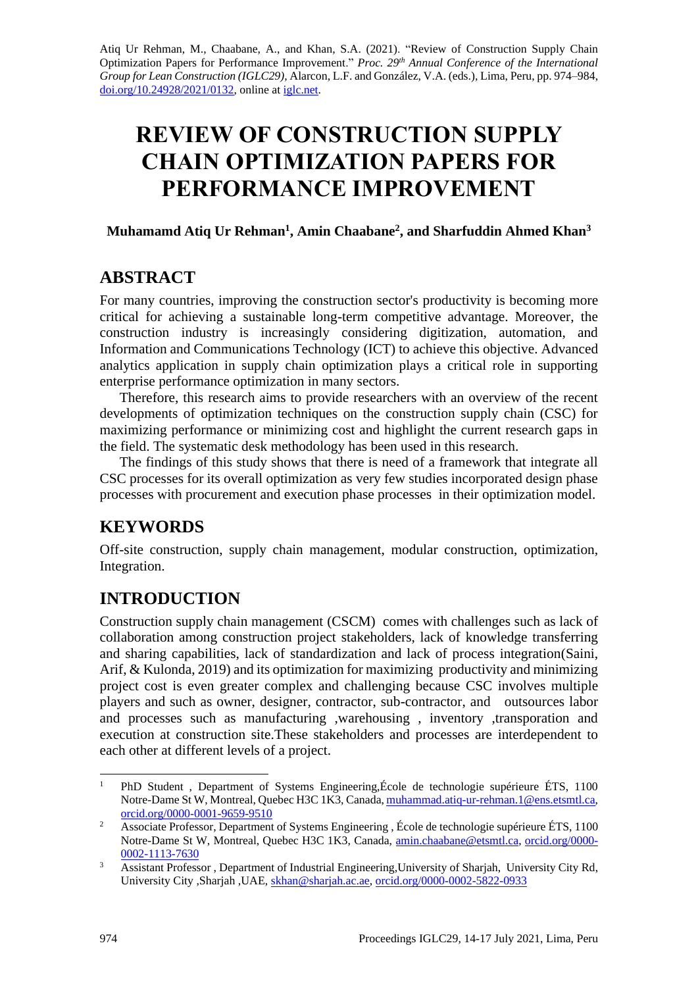Atiq Ur Rehman, M., Chaabane, A., and Khan, S.A. (2021). "Review of Construction Supply Chain Optimization Papers for Performance Improvement." *Proc. 29 th Annual Conference of the International Group for Lean Construction (IGLC29),* Alarcon, L.F. and González, V.A. (eds.)*,* Lima, Peru, pp. 974–984, [doi.org/10.24928/2021/0132,](https://doi.org/10.24928/2021/0132) online a[t iglc.net.](http://iglc.net/)

# **REVIEW OF CONSTRUCTION SUPPLY CHAIN OPTIMIZATION PAPERS FOR PERFORMANCE IMPROVEMENT**

#### **Muhamamd Atiq Ur Rehman<sup>1</sup> , Amin Chaabane<sup>2</sup> , and Sharfuddin Ahmed Khan<sup>3</sup>**

# **ABSTRACT**

For many countries, improving the construction sector's productivity is becoming more critical for achieving a sustainable long-term competitive advantage. Moreover, the construction industry is increasingly considering digitization, automation, and Information and Communications Technology (ICT) to achieve this objective. Advanced analytics application in supply chain optimization plays a critical role in supporting enterprise performance optimization in many sectors.

Therefore, this research aims to provide researchers with an overview of the recent developments of optimization techniques on the construction supply chain (CSC) for maximizing performance or minimizing cost and highlight the current research gaps in the field. The systematic desk methodology has been used in this research.

The findings of this study shows that there is need of a framework that integrate all CSC processes for its overall optimization as very few studies incorporated design phase processes with procurement and execution phase processes in their optimization model.

# **KEYWORDS**

Off-site construction, supply chain management, modular construction, optimization, Integration.

# **INTRODUCTION**

Construction supply chain management (CSCM) comes with challenges such as lack of collaboration among construction project stakeholders, lack of knowledge transferring and sharing capabilities, lack of standardization and lack of process integration(Saini, Arif, & Kulonda, 2019) and its optimization for maximizing productivity and minimizing project cost is even greater complex and challenging because CSC involves multiple players and such as owner, designer, contractor, sub-contractor, and outsources labor and processes such as manufacturing ,warehousing , inventory ,transporation and execution at construction site.These stakeholders and processes are interdependent to each other at different levels of a project.

<sup>&</sup>lt;sup>1</sup> PhD Student, Department of Systems Engineering, École de technologie supérieure ÉTS, 1100 Notre-Dame St W, Montreal, Quebec H3C 1K3, Canada[, muhammad.atiq-ur-rehman.1@ens.etsmtl.ca,](mailto:muhammad.atiq-ur-rehman.1@ens.etsmtl.ca) [orcid.org/0000-0001-9659-9510](https://orcid.org/0000-0001-9659-9510)

<sup>&</sup>lt;sup>2</sup> Associate Professor, Department of Systems Engineering, École de technologie supérieure ÉTS, 1100 Notre-Dame St W, Montreal, Quebec H3C 1K3, Canada, [amin.chaabane@etsmtl.ca,](mailto:amin.chaabane@etsmtl.ca) [orcid.org/0000-](https://orcid.org/0000-0002-1113-7630) [0002-1113-7630](https://orcid.org/0000-0002-1113-7630)

<sup>&</sup>lt;sup>3</sup> Assistant Professor , Department of Industrial Engineering, University of Shariah, University City Rd, University City ,Sharjah ,UAE, [skhan@sharjah.ac.ae,](mailto:skhan@sharjah.ac.ae) [orcid.org/0000-0002-5822-0933](https://orcid.org/0000-0002-5822-0933)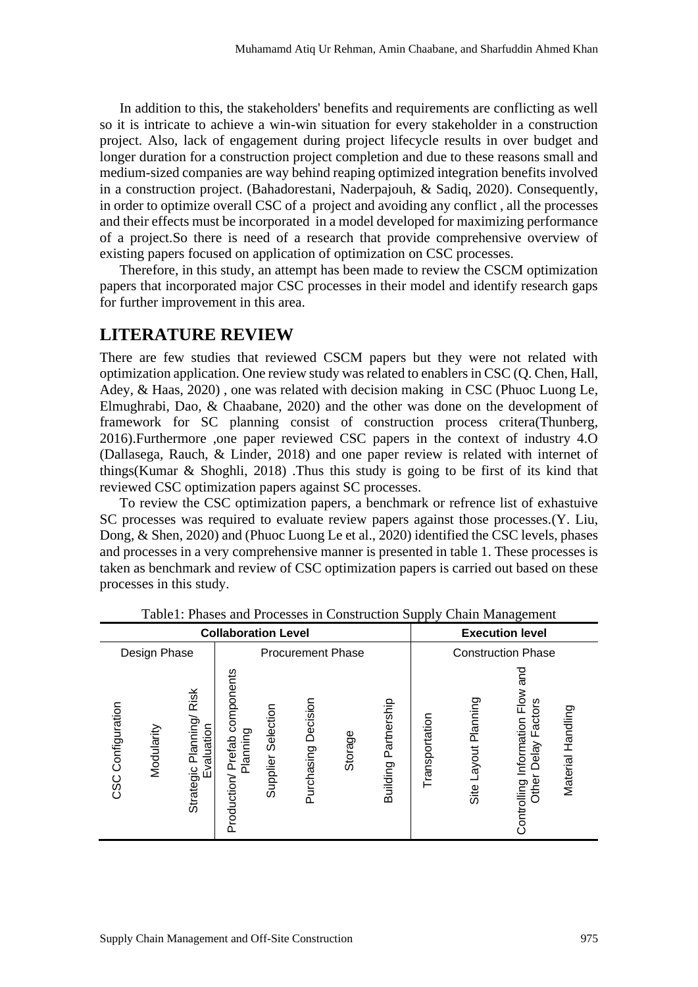In addition to this, the stakeholders' benefits and requirements are conflicting as well so it is intricate to achieve a win-win situation for every stakeholder in a construction project. Also, lack of engagement during project lifecycle results in over budget and longer duration for a construction project completion and due to these reasons small and medium-sized companies are way behind reaping optimized integration benefits involved in a construction project. (Bahadorestani, Naderpajouh, & Sadiq, 2020). Consequently, in order to optimize overall CSC of a project and avoiding any conflict , all the processes and their effects must be incorporated in a model developed for maximizing performance of a project.So there is need of a research that provide comprehensive overview of existing papers focused on application of optimization on CSC processes.

Therefore, in this study, an attempt has been made to review the CSCM optimization papers that incorporated major CSC processes in their model and identify research gaps for further improvement in this area.

# **LITERATURE REVIEW**

There are few studies that reviewed CSCM papers but they were not related with optimization application. One review study was related to enablers in CSC (Q. Chen, Hall, Adey, & Haas, 2020) , one was related with decision making in CSC (Phuoc Luong Le, Elmughrabi, Dao, & Chaabane, 2020) and the other was done on the development of framework for SC planning consist of construction process critera(Thunberg, 2016).Furthermore ,one paper reviewed CSC papers in the context of industry 4.O (Dallasega, Rauch, & Linder, 2018) and one paper review is related with internet of things(Kumar & Shoghli, 2018) .Thus this study is going to be first of its kind that reviewed CSC optimization papers against SC processes.

To review the CSC optimization papers, a benchmark or refrence list of exhastuive SC processes was required to evaluate review papers against those processes.(Y. Liu, Dong, & Shen, 2020) and (Phuoc Luong Le et al., 2020) identified the CSC levels, phases and processes in a very comprehensive manner is presented in table 1. These processes is taken as benchmark and review of CSC optimization papers is carried out based on these processes in this study.

| <b>Collaboration Level</b> |            |                                        |                                                 |                       |                        |         |                         | <b>Execution level</b>    |                            |                                                                     |                   |  |  |  |
|----------------------------|------------|----------------------------------------|-------------------------------------------------|-----------------------|------------------------|---------|-------------------------|---------------------------|----------------------------|---------------------------------------------------------------------|-------------------|--|--|--|
| Design Phase               |            |                                        | <b>Procurement Phase</b>                        |                       |                        |         |                         | <b>Construction Phase</b> |                            |                                                                     |                   |  |  |  |
| Configuration<br>CSC       | Modularity | Strategic Planning/ Risk<br>Evaluation | components<br>Planning<br>Prefab<br>Production/ | Selection<br>Supplier | Decision<br>Purchasing | Storage | Partnership<br>Building | Transportation            | Planning<br>Layout<br>Site | ក<br>ស<br>Controlling Information Flow<br>Factors<br>Delay<br>Other | Material Handling |  |  |  |

Table1: Phases and Processes in Construction Supply Chain Management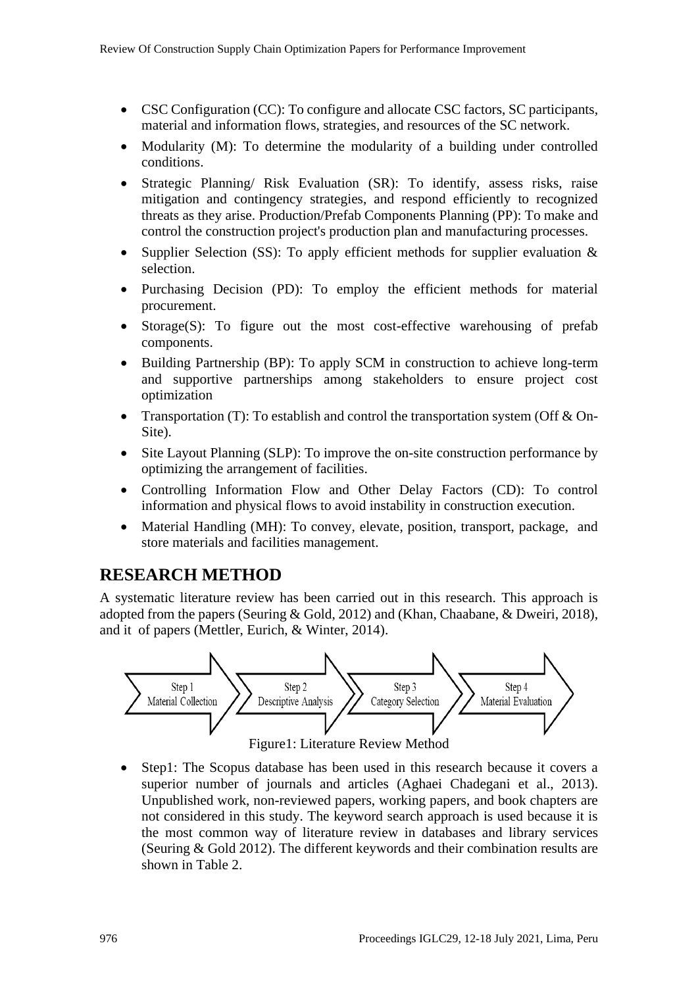- CSC Configuration (CC): To configure and allocate CSC factors, SC participants, material and information flows, strategies, and resources of the SC network.
- Modularity (M): To determine the modularity of a building under controlled conditions.
- Strategic Planning/ Risk Evaluation (SR): To identify, assess risks, raise mitigation and contingency strategies, and respond efficiently to recognized threats as they arise. Production/Prefab Components Planning (PP): To make and control the construction project's production plan and manufacturing processes.
- Supplier Selection (SS): To apply efficient methods for supplier evaluation  $\&$ selection.
- Purchasing Decision (PD): To employ the efficient methods for material procurement.
- Storage(S): To figure out the most cost-effective warehousing of prefab components.
- Building Partnership (BP): To apply SCM in construction to achieve long-term and supportive partnerships among stakeholders to ensure project cost optimization
- Transportation (T): To establish and control the transportation system (Off & On-Site).
- Site Layout Planning (SLP): To improve the on-site construction performance by optimizing the arrangement of facilities.
- Controlling Information Flow and Other Delay Factors (CD): To control information and physical flows to avoid instability in construction execution.
- Material Handling (MH): To convey, elevate, position, transport, package, and store materials and facilities management.

### **RESEARCH METHOD**

A systematic literature review has been carried out in this research. This approach is adopted from the papers (Seuring & Gold, 2012) and (Khan, Chaabane, & Dweiri, 2018), and it of papers (Mettler, Eurich, & Winter, 2014).



Figure1: Literature Review Method

Step1: The Scopus database has been used in this research because it covers a superior number of journals and articles (Aghaei Chadegani et al., 2013). Unpublished work, non-reviewed papers, working papers, and book chapters are not considered in this study. The keyword search approach is used because it is the most common way of literature review in databases and library services (Seuring & Gold 2012). The different keywords and their combination results are shown in Table 2.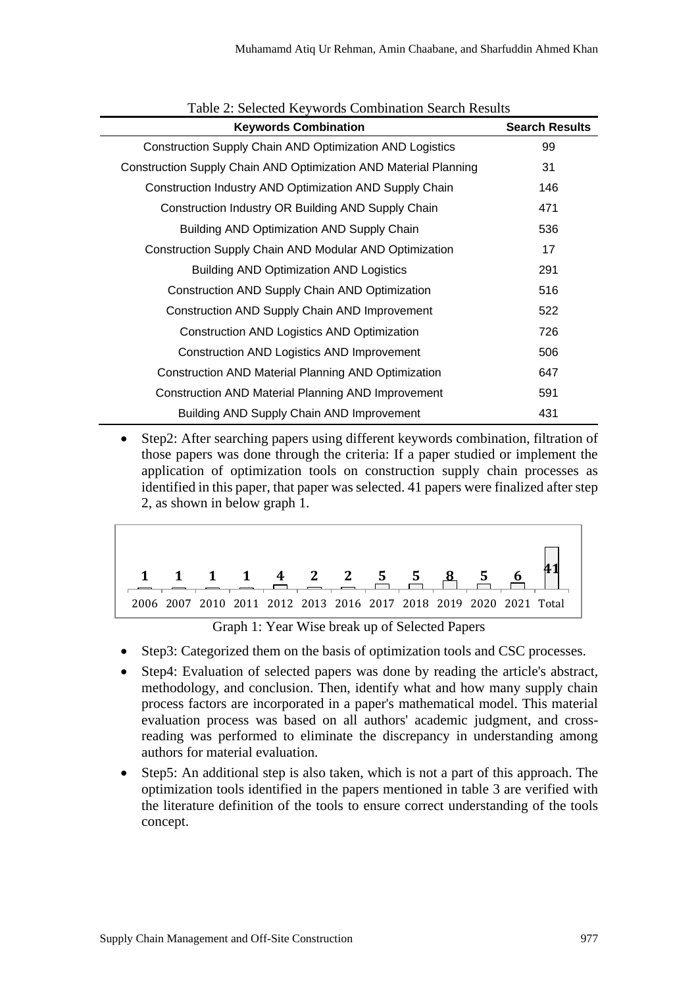| <b>Keywords Combination</b>                                      | <b>Search Results</b> |
|------------------------------------------------------------------|-----------------------|
| Construction Supply Chain AND Optimization AND Logistics         | 99                    |
| Construction Supply Chain AND Optimization AND Material Planning | 31                    |
| Construction Industry AND Optimization AND Supply Chain          | 146                   |
| Construction Industry OR Building AND Supply Chain               | 471                   |
| Building AND Optimization AND Supply Chain                       | 536                   |
| Construction Supply Chain AND Modular AND Optimization           | 17                    |
| <b>Building AND Optimization AND Logistics</b>                   | 291                   |
| Construction AND Supply Chain AND Optimization                   | 516                   |
| Construction AND Supply Chain AND Improvement                    | 522                   |
| Construction AND Logistics AND Optimization                      | 726                   |
| Construction AND Logistics AND Improvement                       | 506                   |
| <b>Construction AND Material Planning AND Optimization</b>       | 647                   |
| <b>Construction AND Material Planning AND Improvement</b>        | 591                   |
| Building AND Supply Chain AND Improvement                        | 431                   |

#### Table 2: Selected Keywords Combination Search Results

• Step2: After searching papers using different keywords combination, filtration of those papers was done through the criteria: If a paper studied or implement the application of optimization tools on construction supply chain processes as identified in this paper, that paper was selected. 41 papers were finalized after step 2, as shown in below graph 1.



Graph 1: Year Wise break up of Selected Papers

- Step3: Categorized them on the basis of optimization tools and CSC processes.
- Step4: Evaluation of selected papers was done by reading the article's abstract, methodology, and conclusion. Then, identify what and how many supply chain process factors are incorporated in a paper's mathematical model. This material evaluation process was based on all authors' academic judgment, and crossreading was performed to eliminate the discrepancy in understanding among authors for material evaluation.
- Step5: An additional step is also taken, which is not a part of this approach. The optimization tools identified in the papers mentioned in table 3 are verified with the literature definition of the tools to ensure correct understanding of the tools concept.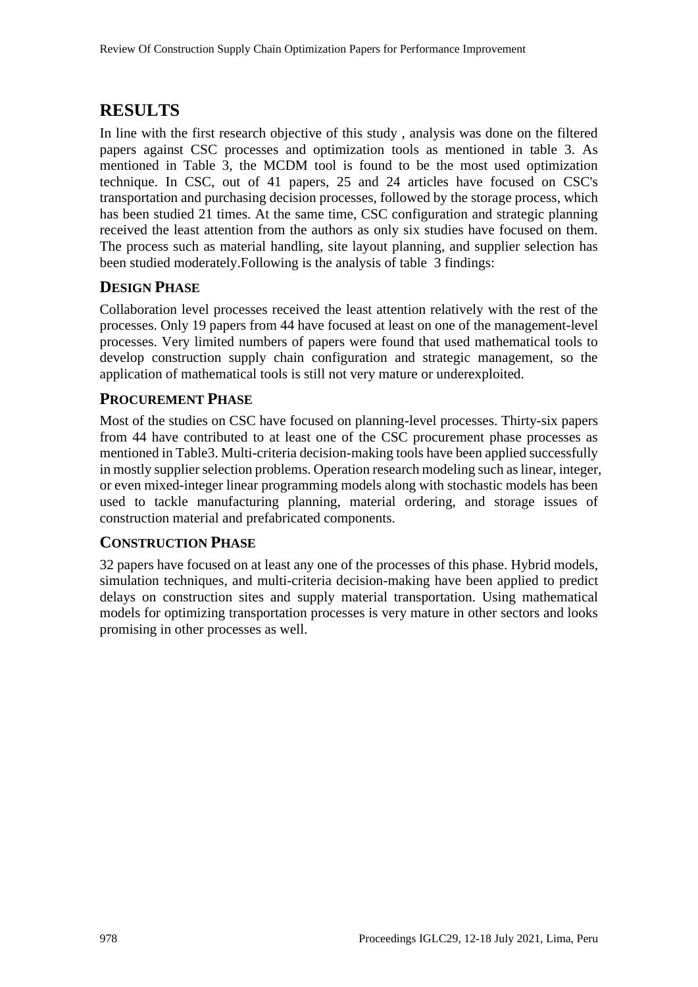# **RESULTS**

In line with the first research objective of this study , analysis was done on the filtered papers against CSC processes and optimization tools as mentioned in table 3. As mentioned in Table 3, the MCDM tool is found to be the most used optimization technique. In CSC, out of 41 papers, 25 and 24 articles have focused on CSC's transportation and purchasing decision processes, followed by the storage process, which has been studied 21 times. At the same time, CSC configuration and strategic planning received the least attention from the authors as only six studies have focused on them. The process such as material handling, site layout planning, and supplier selection has been studied moderately.Following is the analysis of table 3 findings:

### **DESIGN PHASE**

Collaboration level processes received the least attention relatively with the rest of the processes. Only 19 papers from 44 have focused at least on one of the management-level processes. Very limited numbers of papers were found that used mathematical tools to develop construction supply chain configuration and strategic management, so the application of mathematical tools is still not very mature or underexploited.

### **PROCUREMENT PHASE**

Most of the studies on CSC have focused on planning-level processes. Thirty-six papers from 44 have contributed to at least one of the CSC procurement phase processes as mentioned in Table3. Multi-criteria decision-making tools have been applied successfully in mostly supplier selection problems. Operation research modeling such as linear, integer, or even mixed-integer linear programming models along with stochastic models has been used to tackle manufacturing planning, material ordering, and storage issues of construction material and prefabricated components.

### **CONSTRUCTION PHASE**

32 papers have focused on at least any one of the processes of this phase. Hybrid models, simulation techniques, and multi-criteria decision-making have been applied to predict delays on construction sites and supply material transportation. Using mathematical models for optimizing transportation processes is very mature in other sectors and looks promising in other processes as well.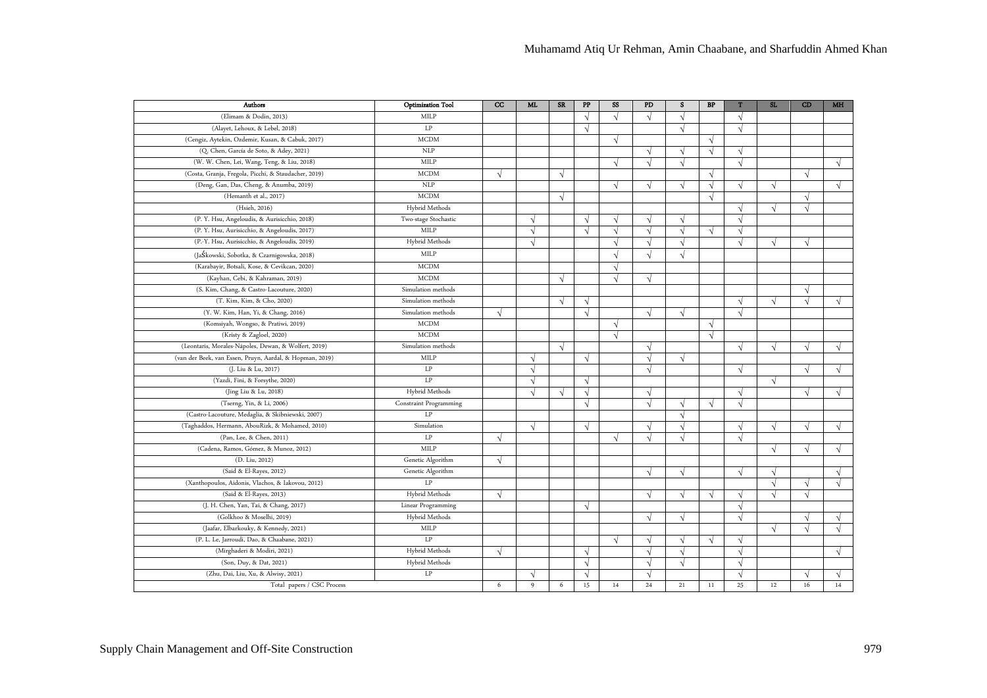| Authors                                                  | <b>Optimization Tool</b> | cc         | ML.        | <b>SR</b>  | ${\bf PP}$ | SS        | PD         | s          | $\mathbf{B}\mathbf{P}$ | T          | SL                       | CD         | <b>MH</b>  |
|----------------------------------------------------------|--------------------------|------------|------------|------------|------------|-----------|------------|------------|------------------------|------------|--------------------------|------------|------------|
| (Elimam & Dodin, 2013)                                   | MILP                     |            |            |            | $\sqrt{ }$ | $\sqrt{}$ | $\sqrt{ }$ | $\sqrt{ }$ |                        | $\sqrt{}$  |                          |            |            |
| (Alayet, Lehoux, & Lebel, 2018)                          | $\operatorname{LP}$      |            |            |            | $\sqrt{ }$ |           |            | $\sqrt{ }$ |                        | $\sqrt{ }$ |                          |            |            |
| (Cengiz, Aytekin, Ozdemir, Kusan, & Cabuk, 2017)         | <b>MCDM</b>              |            |            |            |            | V         |            |            | $\sqrt{ }$             |            |                          |            |            |
| (Q. Chen, García de Soto, & Adey, 2021)                  | NLP                      |            |            |            |            |           | V          | V          | $\sqrt{ }$             | V          |                          |            |            |
| (W. W. Chen, Lei, Wang, Teng, & Liu, 2018)               | MILP                     |            |            |            |            | J         | $\sqrt{ }$ | ٦l         |                        | $\sqrt{}$  |                          |            |            |
| (Costa, Granja, Fregola, Picchi, & Staudacher, 2019)     | <b>MCDM</b>              | N          |            | $\sqrt{ }$ |            |           |            |            | $\sqrt{ }$             |            |                          | $\sqrt{ }$ |            |
| (Deng, Gan, Das, Cheng, & Anumba, 2019)                  | NLP                      |            |            |            |            | V         | ٦l         | √          | √                      | V          | V                        |            | V          |
| (Hemanth et al., 2017)                                   | <b>MCDM</b>              |            |            | $\sqrt{ }$ |            |           |            |            | $\sqrt{ }$             |            |                          | V          |            |
| (Hsieh, 2016)                                            | Hybrid Methods           |            |            |            |            |           |            |            |                        | V          | V                        | $\sqrt{}$  |            |
| (P. Y. Hsu, Angeloudis, & Aurisicchio, 2018)             | Two-stage Stochastic     |            | $\sqrt{ }$ |            | $\sqrt{ }$ | V         | $\sqrt{ }$ | V          |                        | $\sqrt{}$  |                          |            |            |
| (P. Y. Hsu, Aurisicchio, & Angeloudis, 2017)             | MILP                     |            | $\sqrt{ }$ |            | $\sqrt{ }$ | $\sqrt{}$ | $\sqrt{ }$ | $\sqrt{ }$ | $\sqrt{ }$             | $\sqrt{ }$ |                          |            |            |
| (P.-Y. Hsu, Aurisicchio, & Angeloudis, 2019)             | Hybrid Methods           |            | $\sqrt{ }$ |            |            | √         | $\sqrt{ }$ | √          |                        | $\sqrt{}$  | N                        |            |            |
| (JaŚkowski, Sobotka, & Czarnigowska, 2018)               | MILP                     |            |            |            |            |           | N          | J          |                        |            |                          |            |            |
| (Karabayir, Botsali, Kose, & Cevikcan, 2020)             | <b>MCDM</b>              |            |            |            |            | J         |            |            |                        |            |                          |            |            |
| (Kayhan, Cebi, & Kahraman, 2019)                         | <b>MCDM</b>              |            |            | $\sqrt{ }$ |            | $\sqrt{}$ | $\sqrt{ }$ |            |                        |            |                          |            |            |
| (S. Kim, Chang, & Castro-Lacouture, 2020)                | Simulation methods       |            |            |            |            |           |            |            |                        |            |                          |            |            |
| (T. Kim, Kim, & Cho, 2020)                               | Simulation methods       |            |            | $\sqrt{ }$ | V          |           |            |            |                        | $\sqrt{ }$ | N                        |            |            |
| (Y. W. Kim, Han, Yi, & Chang, 2016)                      | Simulation methods       | $\sqrt{ }$ |            |            | $\sqrt{ }$ |           | $\sqrt{ }$ | $\sqrt{ }$ |                        | $\sqrt{}$  |                          |            |            |
| (Komsiyah, Wongso, & Pratiwi, 2019)                      | <b>MCDM</b>              |            |            |            |            | V         |            |            | $\sqrt{ }$             |            |                          |            |            |
| (Kristy & Zagloel, 2020)                                 | <b>MCDM</b>              |            |            |            |            | $\sqrt{}$ |            |            | $\sqrt{ }$             |            |                          |            |            |
| (Leontaris, Morales-Nápoles, Dewan, & Wolfert, 2019)     | Simulation methods       |            |            | $\sqrt{ }$ |            |           | N          |            |                        | $\sqrt{ }$ | N                        | V          | V          |
| (van der Beek, van Essen, Pruyn, Aardal, & Hopman, 2019) | MILP                     |            | $\sqrt{2}$ |            | $\sqrt{ }$ |           | $\sqrt{ }$ | $\sqrt{ }$ |                        |            |                          |            |            |
| (J. Liu & Lu, 2017)                                      | LP                       |            | $\Delta$   |            |            |           | N          |            |                        | $\sqrt{ }$ |                          |            |            |
| (Yazdi, Fini, & Forsythe, 2020)                          | $\rm LP$                 |            | $\Delta$   |            | $\sqrt{ }$ |           |            |            |                        |            | $\overline{\mathcal{N}}$ |            |            |
| (Jing Liu & Lu, 2018)                                    | Hybrid Methods           |            | $\sqrt{ }$ | $\sqrt{ }$ | $\sqrt{ }$ |           | $\sqrt{ }$ |            |                        | $\sqrt{ }$ |                          | $\sqrt{ }$ | J          |
| (Tserng, Yin, & Li, 2006)                                | Constraint Programming   |            |            |            | $\sqrt{ }$ |           | $\sqrt{ }$ | V          | $\sqrt{ }$             | $\sqrt{ }$ |                          |            |            |
| (Castro-Lacouture, Medaglia, & Skibniewski, 2007)        | LP                       |            |            |            |            |           |            | $\sqrt{ }$ |                        |            |                          |            |            |
| (Taghaddos, Hermann, AbouRizk, & Mohamed, 2010)          | Simulation               |            | $\sqrt{ }$ |            | $\sqrt{ }$ |           | N          | V          |                        | $\sqrt{ }$ | V                        | V          | V          |
| (Pan, Lee, & Chen, 2011)                                 | LP                       | $\sqrt{ }$ |            |            |            | $\sqrt{}$ | $\sqrt{ }$ | $\sqrt{ }$ |                        | $\sqrt{}$  |                          |            |            |
| (Cadena, Ramos, Gómez, & Munoz, 2012)                    | MILP                     |            |            |            |            |           |            |            |                        |            | N                        | $\sqrt{ }$ | V          |
| (D. Liu, 2012)                                           | Genetic Algorithm        | N          |            |            |            |           |            |            |                        |            |                          |            |            |
| (Said & El-Rayes, 2012)                                  | Genetic Algorithm        |            |            |            |            |           | N          | √          |                        | $\sqrt{ }$ | V                        |            |            |
| (Xanthopoulos, Aidonis, Vlachos, & Iakovou, 2012)        | LP                       |            |            |            |            |           |            |            |                        |            | N                        |            | V          |
| (Said & El-Rayes, 2013)                                  | Hybrid Methods           | $\sqrt{ }$ |            |            |            |           | $\sqrt{ }$ | $\sqrt{ }$ | $\sqrt{ }$             | V          | $\sqrt{ }$               | $\sqrt{ }$ |            |
| (J. H. Chen, Yan, Tai, & Chang, 2017)                    | Linear Programming       |            |            |            | V          |           |            |            |                        | $\sqrt{}$  |                          |            |            |
| (Golkhoo & Moselhi, 2019)                                | Hybrid Methods           |            |            |            |            |           | $\sqrt{ }$ | $\sqrt{ }$ |                        | $\sqrt{}$  |                          | V          | $\sqrt{ }$ |
| (Jaafar, Elbarkouky, & Kennedy, 2021)                    | MILP                     |            |            |            |            |           |            |            |                        |            | $\sqrt{ }$               | $\sqrt{ }$ | $\sqrt{ }$ |
| (P. L. Le, Jarroudi, Dao, & Chaabane, 2021)              | LP                       |            |            |            |            | $\sqrt{}$ | N          | $\sqrt{ }$ | $\sqrt{ }$             | V          |                          |            |            |
| (Mirghaderi & Modiri, 2021)                              | Hybrid Methods           | $\sqrt{ }$ |            |            | $\sqrt{ }$ |           | $\sqrt{ }$ | $\sqrt{ }$ |                        | $\sqrt{}$  |                          |            | V          |
| (Son, Duy, & Dat, 2021)                                  | Hybrid Methods           |            |            |            | $\sqrt{ }$ |           | $\sqrt{ }$ | $\sqrt{ }$ |                        | $\sqrt{}$  |                          |            |            |
| (Zhu, Dai, Liu, Xu, & Alwisy, 2021)                      | $\operatorname{LP}$      | 6          |            |            | $\sqrt{ }$ |           |            |            |                        | J          |                          |            |            |
| Total papers / CSC Process                               |                          |            | 9          | 6          | 15         | 14        | 24         | 21         | 11                     | 25         | 12                       | 16         | 14         |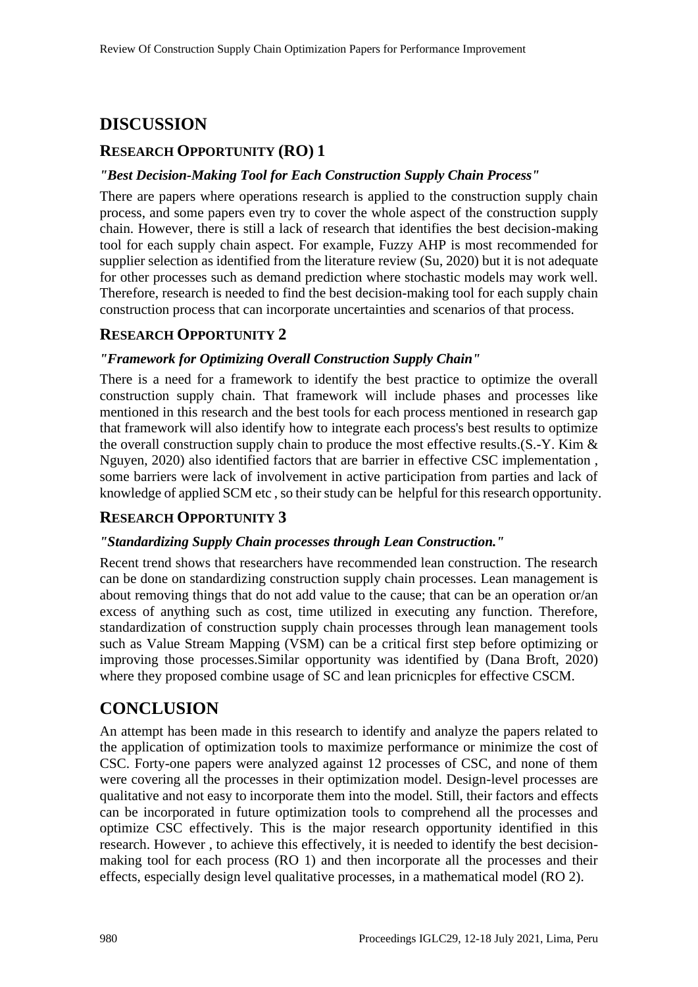# **DISCUSSION**

### **RESEARCH OPPORTUNITY (RO) 1**

#### *"Best Decision-Making Tool for Each Construction Supply Chain Process"*

There are papers where operations research is applied to the construction supply chain process, and some papers even try to cover the whole aspect of the construction supply chain. However, there is still a lack of research that identifies the best decision-making tool for each supply chain aspect. For example, Fuzzy AHP is most recommended for supplier selection as identified from the literature review (Su, 2020) but it is not adequate for other processes such as demand prediction where stochastic models may work well. Therefore, research is needed to find the best decision-making tool for each supply chain construction process that can incorporate uncertainties and scenarios of that process.

### **RESEARCH OPPORTUNITY 2**

#### *"Framework for Optimizing Overall Construction Supply Chain"*

There is a need for a framework to identify the best practice to optimize the overall construction supply chain. That framework will include phases and processes like mentioned in this research and the best tools for each process mentioned in research gap that framework will also identify how to integrate each process's best results to optimize the overall construction supply chain to produce the most effective results.(S.-Y. Kim & Nguyen, 2020) also identified factors that are barrier in effective CSC implementation , some barriers were lack of involvement in active participation from parties and lack of knowledge of applied SCM etc , so their study can be helpful for this research opportunity.

### **RESEARCH OPPORTUNITY 3**

#### *"Standardizing Supply Chain processes through Lean Construction."*

Recent trend shows that researchers have recommended lean construction. The research can be done on standardizing construction supply chain processes. Lean management is about removing things that do not add value to the cause; that can be an operation or/an excess of anything such as cost, time utilized in executing any function. Therefore, standardization of construction supply chain processes through lean management tools such as Value Stream Mapping (VSM) can be a critical first step before optimizing or improving those processes.Similar opportunity was identified by (Dana Broft, 2020) where they proposed combine usage of SC and lean pricnicples for effective CSCM.

### **CONCLUSION**

An attempt has been made in this research to identify and analyze the papers related to the application of optimization tools to maximize performance or minimize the cost of CSC. Forty-one papers were analyzed against 12 processes of CSC, and none of them were covering all the processes in their optimization model. Design-level processes are qualitative and not easy to incorporate them into the model. Still, their factors and effects can be incorporated in future optimization tools to comprehend all the processes and optimize CSC effectively. This is the major research opportunity identified in this research. However , to achieve this effectively, it is needed to identify the best decisionmaking tool for each process (RO 1) and then incorporate all the processes and their effects, especially design level qualitative processes, in a mathematical model (RO 2).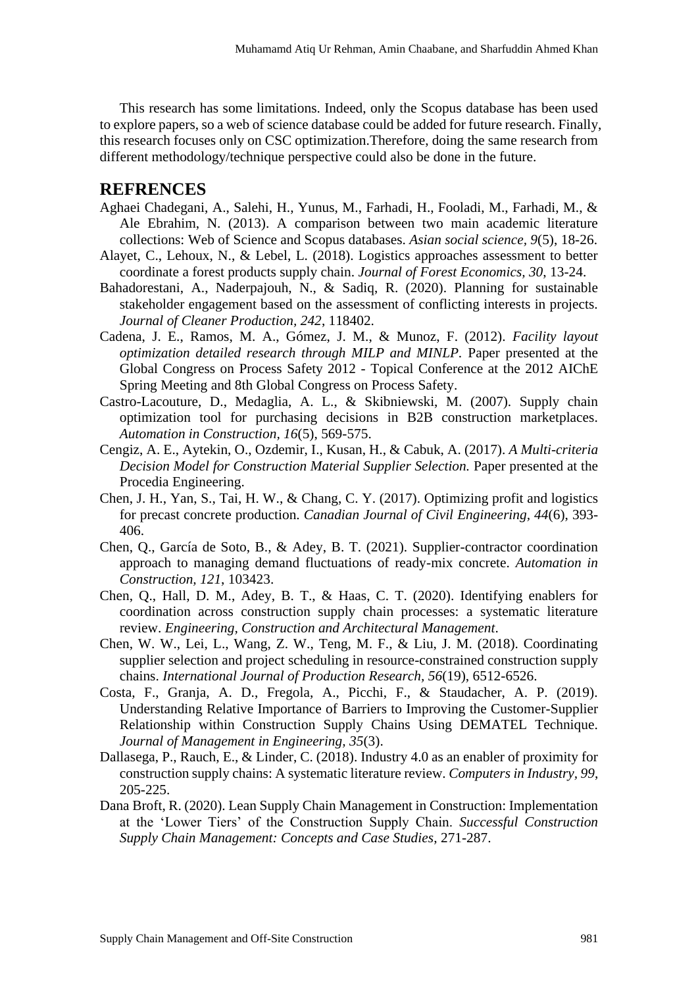This research has some limitations. Indeed, only the Scopus database has been used to explore papers, so a web of science database could be added for future research. Finally, this research focuses only on CSC optimization.Therefore, doing the same research from different methodology/technique perspective could also be done in the future.

#### **REFRENCES**

- Aghaei Chadegani, A., Salehi, H., Yunus, M., Farhadi, H., Fooladi, M., Farhadi, M., & Ale Ebrahim, N. (2013). A comparison between two main academic literature collections: Web of Science and Scopus databases. *Asian social science, 9*(5), 18-26.
- Alayet, C., Lehoux, N., & Lebel, L. (2018). Logistics approaches assessment to better coordinate a forest products supply chain. *Journal of Forest Economics, 30*, 13-24.
- Bahadorestani, A., Naderpajouh, N., & Sadiq, R. (2020). Planning for sustainable stakeholder engagement based on the assessment of conflicting interests in projects. *Journal of Cleaner Production, 242*, 118402.
- Cadena, J. E., Ramos, M. A., Gómez, J. M., & Munoz, F. (2012). *Facility layout optimization detailed research through MILP and MINLP.* Paper presented at the Global Congress on Process Safety 2012 - Topical Conference at the 2012 AIChE Spring Meeting and 8th Global Congress on Process Safety.
- Castro-Lacouture, D., Medaglia, A. L., & Skibniewski, M. (2007). Supply chain optimization tool for purchasing decisions in B2B construction marketplaces. *Automation in Construction, 16*(5), 569-575.
- Cengiz, A. E., Aytekin, O., Ozdemir, I., Kusan, H., & Cabuk, A. (2017). *A Multi-criteria Decision Model for Construction Material Supplier Selection.* Paper presented at the Procedia Engineering.
- Chen, J. H., Yan, S., Tai, H. W., & Chang, C. Y. (2017). Optimizing profit and logistics for precast concrete production. *Canadian Journal of Civil Engineering, 44*(6), 393- 406.
- Chen, Q., García de Soto, B., & Adey, B. T. (2021). Supplier-contractor coordination approach to managing demand fluctuations of ready-mix concrete. *Automation in Construction, 121*, 103423.
- Chen, Q., Hall, D. M., Adey, B. T., & Haas, C. T. (2020). Identifying enablers for coordination across construction supply chain processes: a systematic literature review. *Engineering, Construction and Architectural Management*.
- Chen, W. W., Lei, L., Wang, Z. W., Teng, M. F., & Liu, J. M. (2018). Coordinating supplier selection and project scheduling in resource-constrained construction supply chains. *International Journal of Production Research, 56*(19), 6512-6526.
- Costa, F., Granja, A. D., Fregola, A., Picchi, F., & Staudacher, A. P. (2019). Understanding Relative Importance of Barriers to Improving the Customer-Supplier Relationship within Construction Supply Chains Using DEMATEL Technique. *Journal of Management in Engineering, 35*(3).
- Dallasega, P., Rauch, E., & Linder, C. (2018). Industry 4.0 as an enabler of proximity for construction supply chains: A systematic literature review. *Computers in Industry, 99*, 205-225.
- Dana Broft, R. (2020). Lean Supply Chain Management in Construction: Implementation at the 'Lower Tiers' of the Construction Supply Chain. *Successful Construction Supply Chain Management: Concepts and Case Studies*, 271-287.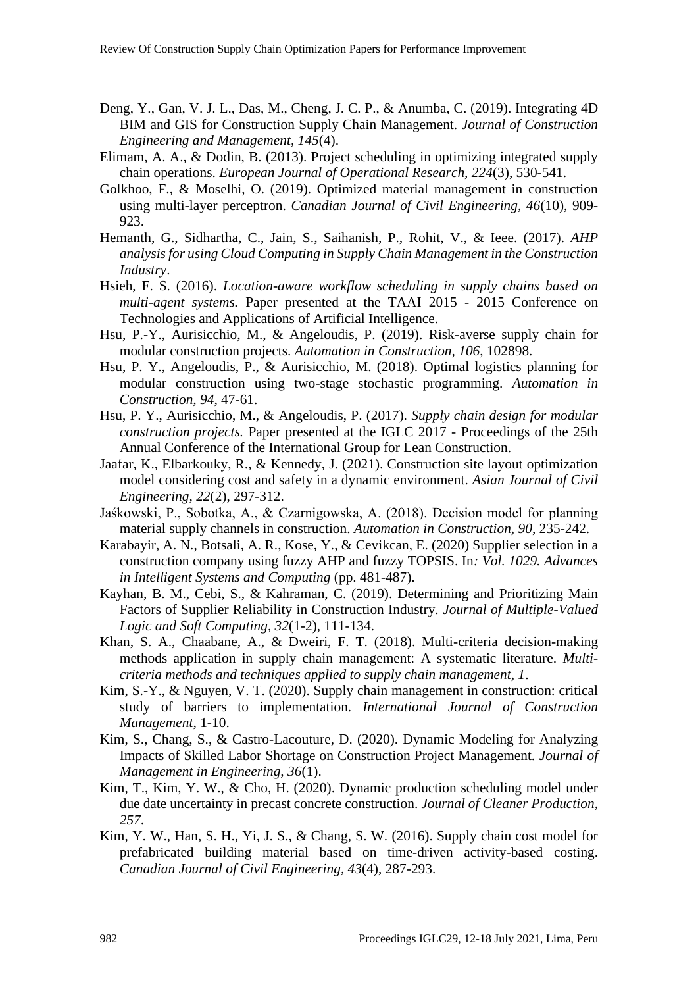- Deng, Y., Gan, V. J. L., Das, M., Cheng, J. C. P., & Anumba, C. (2019). Integrating 4D BIM and GIS for Construction Supply Chain Management. *Journal of Construction Engineering and Management, 145*(4).
- Elimam, A. A., & Dodin, B. (2013). Project scheduling in optimizing integrated supply chain operations. *European Journal of Operational Research, 224*(3), 530-541.
- Golkhoo, F., & Moselhi, O. (2019). Optimized material management in construction using multi-layer perceptron. *Canadian Journal of Civil Engineering, 46*(10), 909- 923.
- Hemanth, G., Sidhartha, C., Jain, S., Saihanish, P., Rohit, V., & Ieee. (2017). *AHP analysis for using Cloud Computing in Supply Chain Management in the Construction Industry*.
- Hsieh, F. S. (2016). *Location-aware workflow scheduling in supply chains based on multi-agent systems.* Paper presented at the TAAI 2015 - 2015 Conference on Technologies and Applications of Artificial Intelligence.
- Hsu, P.-Y., Aurisicchio, M., & Angeloudis, P. (2019). Risk-averse supply chain for modular construction projects. *Automation in Construction, 106*, 102898.
- Hsu, P. Y., Angeloudis, P., & Aurisicchio, M. (2018). Optimal logistics planning for modular construction using two-stage stochastic programming. *Automation in Construction, 94*, 47-61.
- Hsu, P. Y., Aurisicchio, M., & Angeloudis, P. (2017). *Supply chain design for modular construction projects.* Paper presented at the IGLC 2017 - Proceedings of the 25th Annual Conference of the International Group for Lean Construction.
- Jaafar, K., Elbarkouky, R., & Kennedy, J. (2021). Construction site layout optimization model considering cost and safety in a dynamic environment. *Asian Journal of Civil Engineering, 22*(2), 297-312.
- Jaśkowski, P., Sobotka, A., & Czarnigowska, A. (2018). Decision model for planning material supply channels in construction. *Automation in Construction, 90*, 235-242.
- Karabayir, A. N., Botsali, A. R., Kose, Y., & Cevikcan, E. (2020) Supplier selection in a construction company using fuzzy AHP and fuzzy TOPSIS. In*: Vol. 1029. Advances in Intelligent Systems and Computing* (pp. 481-487).
- Kayhan, B. M., Cebi, S., & Kahraman, C. (2019). Determining and Prioritizing Main Factors of Supplier Reliability in Construction Industry. *Journal of Multiple-Valued Logic and Soft Computing, 32*(1-2), 111-134.
- Khan, S. A., Chaabane, A., & Dweiri, F. T. (2018). Multi-criteria decision-making methods application in supply chain management: A systematic literature. *Multicriteria methods and techniques applied to supply chain management, 1*.
- Kim, S.-Y., & Nguyen, V. T. (2020). Supply chain management in construction: critical study of barriers to implementation. *International Journal of Construction Management*, 1-10.
- Kim, S., Chang, S., & Castro-Lacouture, D. (2020). Dynamic Modeling for Analyzing Impacts of Skilled Labor Shortage on Construction Project Management. *Journal of Management in Engineering, 36*(1).
- Kim, T., Kim, Y. W., & Cho, H. (2020). Dynamic production scheduling model under due date uncertainty in precast concrete construction. *Journal of Cleaner Production, 257*.
- Kim, Y. W., Han, S. H., Yi, J. S., & Chang, S. W. (2016). Supply chain cost model for prefabricated building material based on time-driven activity-based costing. *Canadian Journal of Civil Engineering, 43*(4), 287-293.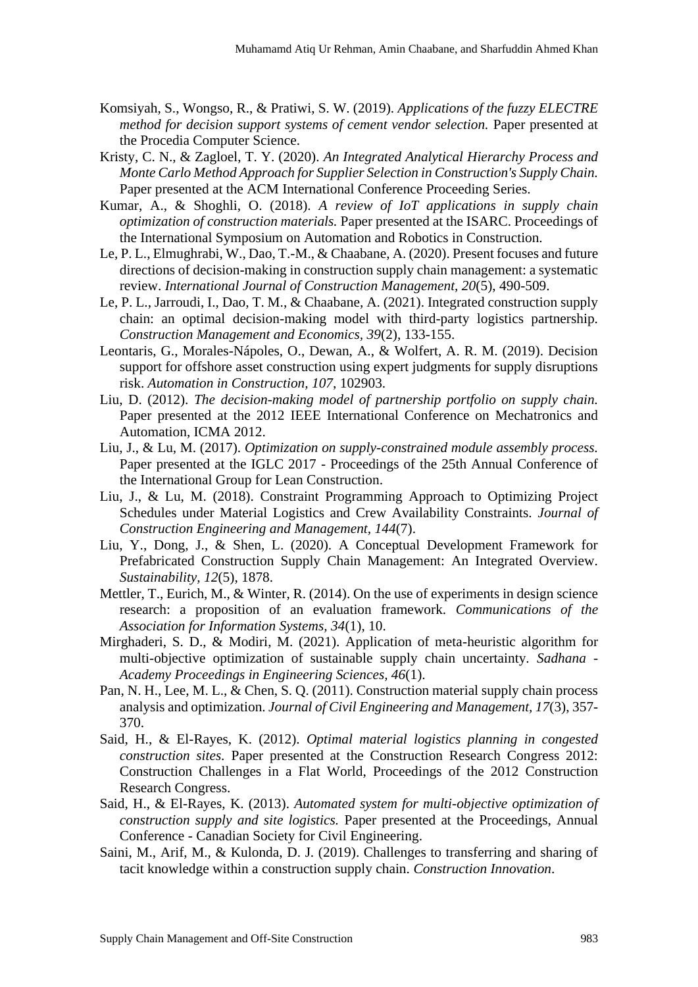- Komsiyah, S., Wongso, R., & Pratiwi, S. W. (2019). *Applications of the fuzzy ELECTRE method for decision support systems of cement vendor selection.* Paper presented at the Procedia Computer Science.
- Kristy, C. N., & Zagloel, T. Y. (2020). *An Integrated Analytical Hierarchy Process and Monte Carlo Method Approach for Supplier Selection in Construction's Supply Chain.* Paper presented at the ACM International Conference Proceeding Series.
- Kumar, A., & Shoghli, O. (2018). *A review of IoT applications in supply chain optimization of construction materials.* Paper presented at the ISARC. Proceedings of the International Symposium on Automation and Robotics in Construction.
- Le, P. L., Elmughrabi, W., Dao, T.-M., & Chaabane, A. (2020). Present focuses and future directions of decision-making in construction supply chain management: a systematic review. *International Journal of Construction Management, 20*(5), 490-509.
- Le, P. L., Jarroudi, I., Dao, T. M., & Chaabane, A. (2021). Integrated construction supply chain: an optimal decision-making model with third-party logistics partnership. *Construction Management and Economics, 39*(2), 133-155.
- Leontaris, G., Morales-Nápoles, O., Dewan, A., & Wolfert, A. R. M. (2019). Decision support for offshore asset construction using expert judgments for supply disruptions risk. *Automation in Construction, 107*, 102903.
- Liu, D. (2012). *The decision-making model of partnership portfolio on supply chain.* Paper presented at the 2012 IEEE International Conference on Mechatronics and Automation, ICMA 2012.
- Liu, J., & Lu, M. (2017). *Optimization on supply-constrained module assembly process.* Paper presented at the IGLC 2017 - Proceedings of the 25th Annual Conference of the International Group for Lean Construction.
- Liu, J., & Lu, M. (2018). Constraint Programming Approach to Optimizing Project Schedules under Material Logistics and Crew Availability Constraints. *Journal of Construction Engineering and Management, 144*(7).
- Liu, Y., Dong, J., & Shen, L. (2020). A Conceptual Development Framework for Prefabricated Construction Supply Chain Management: An Integrated Overview. *Sustainability, 12*(5), 1878.
- Mettler, T., Eurich, M., & Winter, R. (2014). On the use of experiments in design science research: a proposition of an evaluation framework. *Communications of the Association for Information Systems, 34*(1), 10.
- Mirghaderi, S. D., & Modiri, M. (2021). Application of meta-heuristic algorithm for multi-objective optimization of sustainable supply chain uncertainty. *Sadhana - Academy Proceedings in Engineering Sciences, 46*(1).
- Pan, N. H., Lee, M. L., & Chen, S. Q. (2011). Construction material supply chain process analysis and optimization. *Journal of Civil Engineering and Management, 17*(3), 357- 370.
- Said, H., & El-Rayes, K. (2012). *Optimal material logistics planning in congested construction sites.* Paper presented at the Construction Research Congress 2012: Construction Challenges in a Flat World, Proceedings of the 2012 Construction Research Congress.
- Said, H., & El-Rayes, K. (2013). *Automated system for multi-objective optimization of construction supply and site logistics.* Paper presented at the Proceedings, Annual Conference - Canadian Society for Civil Engineering.
- Saini, M., Arif, M., & Kulonda, D. J. (2019). Challenges to transferring and sharing of tacit knowledge within a construction supply chain. *Construction Innovation*.